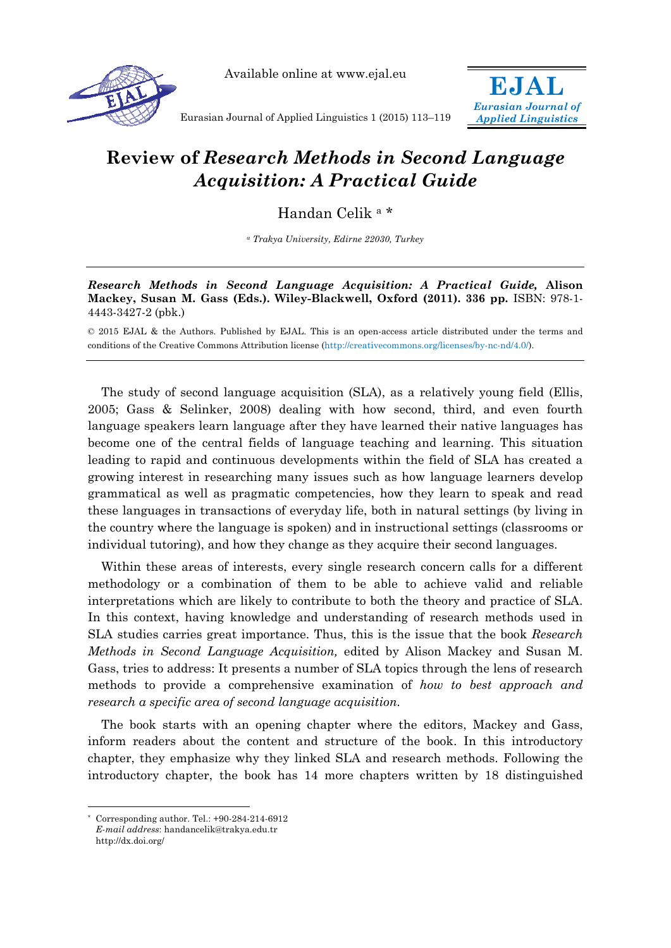

Available online at www.ejal.eu



Eurasian Journal of Applied Linguistics 1 (2015) 113–119

## **Review of** *Research Methods in Second Language Acquisition: A Practical Guide*

Handan Celik a \*

*a Trakya University, Edirne 22030, Turkey* 

*Research Methods in Second Language Acquisition: A Practical Guide,* **Alison Mackey, Susan M. Gass (Eds.). Wiley-Blackwell, Oxford (2011). 336 pp.** ISBN: 978-1- 4443-3427-2 (pbk.)

© 2015 EJAL & the Authors. Published by EJAL. This is an open-access article distributed under the terms and conditions of the Creative Commons Attribution license (http://creativecommons.org/licenses/by-nc-nd/4.0/).

The study of second language acquisition (SLA), as a relatively young field (Ellis, 2005; Gass & Selinker, 2008) dealing with how second, third, and even fourth language speakers learn language after they have learned their native languages has become one of the central fields of language teaching and learning. This situation leading to rapid and continuous developments within the field of SLA has created a growing interest in researching many issues such as how language learners develop grammatical as well as pragmatic competencies, how they learn to speak and read these languages in transactions of everyday life, both in natural settings (by living in the country where the language is spoken) and in instructional settings (classrooms or individual tutoring), and how they change as they acquire their second languages.

Within these areas of interests, every single research concern calls for a different methodology or a combination of them to be able to achieve valid and reliable interpretations which are likely to contribute to both the theory and practice of SLA. In this context, having knowledge and understanding of research methods used in SLA studies carries great importance. Thus, this is the issue that the book *Research Methods in Second Language Acquisition,* edited by Alison Mackey and Susan M. Gass, tries to address: It presents a number of SLA topics through the lens of research methods to provide a comprehensive examination of *how to best approach and research a specific area of second language acquisition.*

The book starts with an opening chapter where the editors, Mackey and Gass, inform readers about the content and structure of the book. In this introductory chapter, they emphasize why they linked SLA and research methods. Following the introductory chapter, the book has 14 more chapters written by 18 distinguished

 $\overline{a}$ 

Corresponding author. Tel.:  $+90-284-214-6912$ *E-mail address*: handancelik@trakya.edu.tr http://dx.doi.org/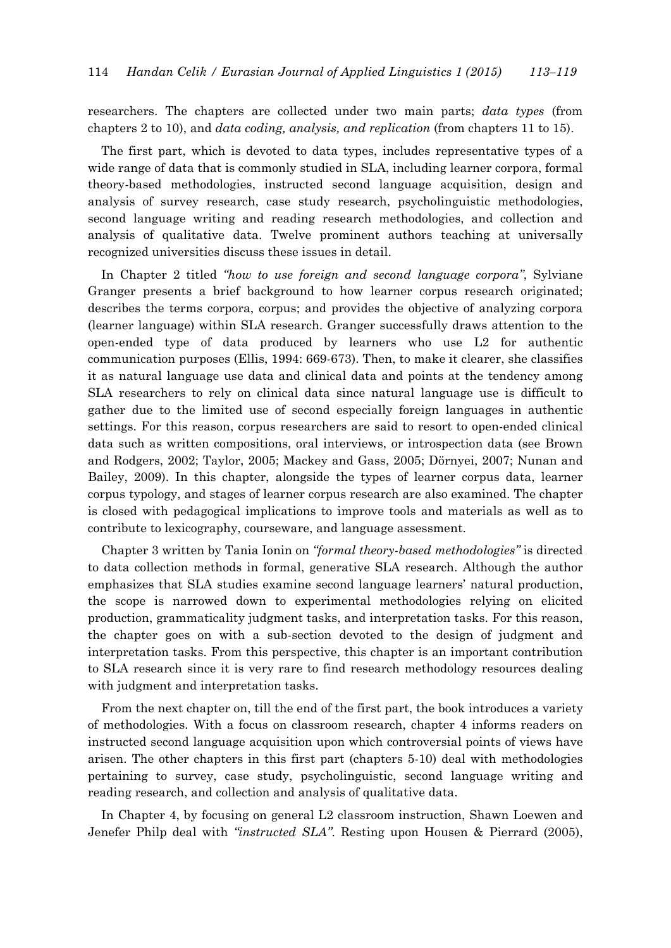researchers. The chapters are collected under two main parts; *data types* (from chapters 2 to 10), and *data coding, analysis, and replication* (from chapters 11 to 15).

The first part, which is devoted to data types, includes representative types of a wide range of data that is commonly studied in SLA, including learner corpora, formal theory-based methodologies, instructed second language acquisition, design and analysis of survey research, case study research, psycholinguistic methodologies, second language writing and reading research methodologies, and collection and analysis of qualitative data. Twelve prominent authors teaching at universally recognized universities discuss these issues in detail.

In Chapter 2 titled *"how to use foreign and second language corpora"*, Sylviane Granger presents a brief background to how learner corpus research originated; describes the terms corpora, corpus; and provides the objective of analyzing corpora (learner language) within SLA research. Granger successfully draws attention to the open-ended type of data produced by learners who use L2 for authentic communication purposes (Ellis, 1994: 669-673). Then, to make it clearer, she classifies it as natural language use data and clinical data and points at the tendency among SLA researchers to rely on clinical data since natural language use is difficult to gather due to the limited use of second especially foreign languages in authentic settings. For this reason, corpus researchers are said to resort to open-ended clinical data such as written compositions, oral interviews, or introspection data (see Brown and Rodgers, 2002; Taylor, 2005; Mackey and Gass, 2005; Dörnyei, 2007; Nunan and Bailey, 2009). In this chapter, alongside the types of learner corpus data, learner corpus typology, and stages of learner corpus research are also examined. The chapter is closed with pedagogical implications to improve tools and materials as well as to contribute to lexicography, courseware, and language assessment.

Chapter 3 written by Tania Ionin on *"formal theory-based methodologies"* is directed to data collection methods in formal, generative SLA research. Although the author emphasizes that SLA studies examine second language learners' natural production, the scope is narrowed down to experimental methodologies relying on elicited production, grammaticality judgment tasks, and interpretation tasks. For this reason, the chapter goes on with a sub-section devoted to the design of judgment and interpretation tasks. From this perspective, this chapter is an important contribution to SLA research since it is very rare to find research methodology resources dealing with judgment and interpretation tasks.

From the next chapter on, till the end of the first part, the book introduces a variety of methodologies. With a focus on classroom research, chapter 4 informs readers on instructed second language acquisition upon which controversial points of views have arisen. The other chapters in this first part (chapters 5-10) deal with methodologies pertaining to survey, case study, psycholinguistic, second language writing and reading research, and collection and analysis of qualitative data.

In Chapter 4, by focusing on general L2 classroom instruction, Shawn Loewen and Jenefer Philp deal with *"instructed SLA"*. Resting upon Housen & Pierrard (2005),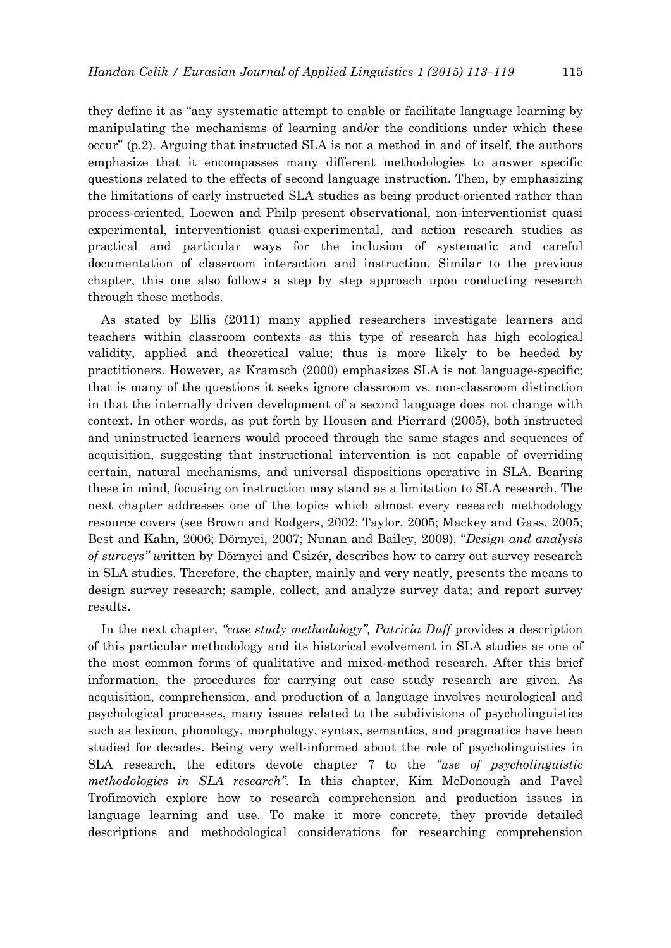they define it as "any systematic attempt to enable or facilitate language learning by manipulating the mechanisms of learning and/or the conditions under which these occur" (p.2). Arguing that instructed SLA is not a method in and of itself, the authors emphasize that it encompasses many different methodologies to answer specific questions related to the effects of second language instruction. Then, by emphasizing the limitations of early instructed SLA studies as being product-oriented rather than process-oriented, Loewen and Philp present observational, non-interventionist quasi experimental, interventionist quasi-experimental, and action research studies as practical and particular ways for the inclusion of systematic and careful documentation of classroom interaction and instruction. Similar to the previous chapter, this one also follows a step by step approach upon conducting research through these methods.

As stated by Ellis (2011) many applied researchers investigate learners and teachers within classroom contexts as this type of research has high ecological validity, applied and theoretical value; thus is more likely to be heeded by practitioners. However, as Kramsch (2000) emphasizes SLA is not language-specific; that is many of the questions it seeks ignore classroom vs. non-classroom distinction in that the internally driven development of a second language does not change with context. In other words, as put forth by Housen and Pierrard (2005), both instructed and uninstructed learners would proceed through the same stages and sequences of acquisition, suggesting that instructional intervention is not capable of overriding certain, natural mechanisms, and universal dispositions operative in SLA. Bearing these in mind, focusing on instruction may stand as a limitation to SLA research. The next chapter addresses one of the topics which almost every research methodology resource covers (see Brown and Rodgers, 2002; Taylor, 2005; Mackey and Gass, 2005; Best and Kahn, 2006; Dörnyei, 2007; Nunan and Bailey, 2009). "*Design and analysis of surveys" w*ritten by Dörnyei and Csizér, describes how to carry out survey research in SLA studies. Therefore, the chapter, mainly and very neatly, presents the means to design survey research; sample, collect, and analyze survey data; and report survey results.

In the next chapter, *"case study methodology", Patricia Duff* provides a description of this particular methodology and its historical evolvement in SLA studies as one of the most common forms of qualitative and mixed-method research. After this brief information, the procedures for carrying out case study research are given. As acquisition, comprehension, and production of a language involves neurological and psychological processes, many issues related to the subdivisions of psycholinguistics such as lexicon, phonology, morphology, syntax, semantics, and pragmatics have been studied for decades. Being very well-informed about the role of psycholinguistics in SLA research, the editors devote chapter 7 to the *"use of psycholinguistic methodologies in SLA research"*. In this chapter, Kim McDonough and Pavel Trofimovich explore how to research comprehension and production issues in language learning and use. To make it more concrete, they provide detailed descriptions and methodological considerations for researching comprehension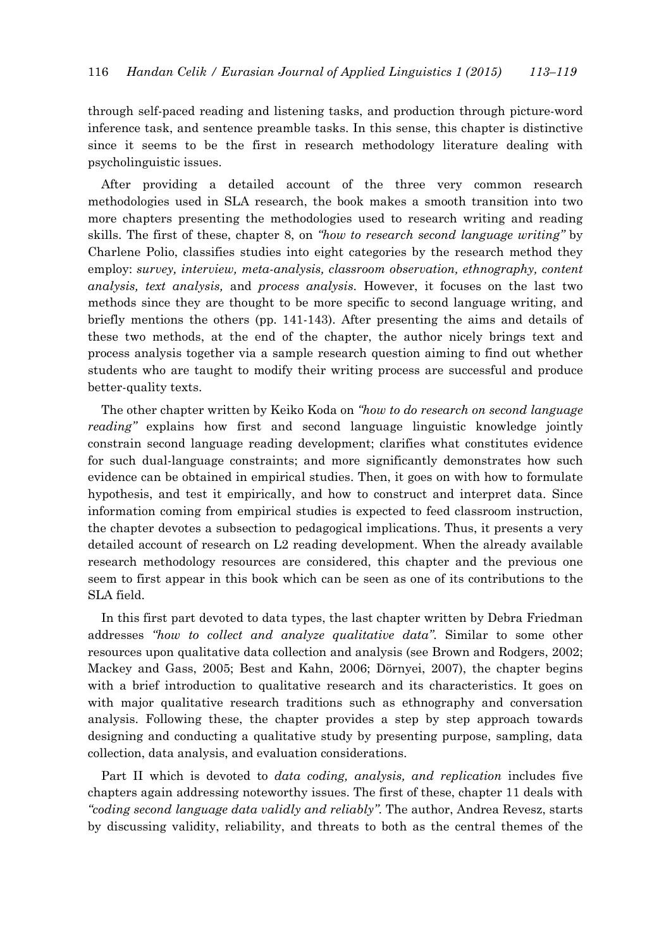through self-paced reading and listening tasks, and production through picture-word inference task, and sentence preamble tasks. In this sense, this chapter is distinctive since it seems to be the first in research methodology literature dealing with psycholinguistic issues.

After providing a detailed account of the three very common research methodologies used in SLA research, the book makes a smooth transition into two more chapters presenting the methodologies used to research writing and reading skills. The first of these, chapter 8, on *"how to research second language writing"* by Charlene Polio, classifies studies into eight categories by the research method they employ: *survey, interview, meta-analysis, classroom observation, ethnography, content analysis, text analysis,* and *process analysis*. However, it focuses on the last two methods since they are thought to be more specific to second language writing, and briefly mentions the others (pp. 141-143). After presenting the aims and details of these two methods, at the end of the chapter, the author nicely brings text and process analysis together via a sample research question aiming to find out whether students who are taught to modify their writing process are successful and produce better-quality texts.

The other chapter written by Keiko Koda on *"how to do research on second language reading*" explains how first and second language linguistic knowledge jointly constrain second language reading development; clarifies what constitutes evidence for such dual-language constraints; and more significantly demonstrates how such evidence can be obtained in empirical studies. Then, it goes on with how to formulate hypothesis, and test it empirically, and how to construct and interpret data. Since information coming from empirical studies is expected to feed classroom instruction, the chapter devotes a subsection to pedagogical implications. Thus, it presents a very detailed account of research on L2 reading development. When the already available research methodology resources are considered, this chapter and the previous one seem to first appear in this book which can be seen as one of its contributions to the SLA field.

In this first part devoted to data types, the last chapter written by Debra Friedman addresses *"how to collect and analyze qualitative data"*. Similar to some other resources upon qualitative data collection and analysis (see Brown and Rodgers, 2002; Mackey and Gass, 2005; Best and Kahn, 2006; Dörnyei, 2007), the chapter begins with a brief introduction to qualitative research and its characteristics. It goes on with major qualitative research traditions such as ethnography and conversation analysis. Following these, the chapter provides a step by step approach towards designing and conducting a qualitative study by presenting purpose, sampling, data collection, data analysis, and evaluation considerations.

Part II which is devoted to *data coding, analysis, and replication* includes five chapters again addressing noteworthy issues. The first of these, chapter 11 deals with *"coding second language data validly and reliably"*. The author, Andrea Revesz, starts by discussing validity, reliability, and threats to both as the central themes of the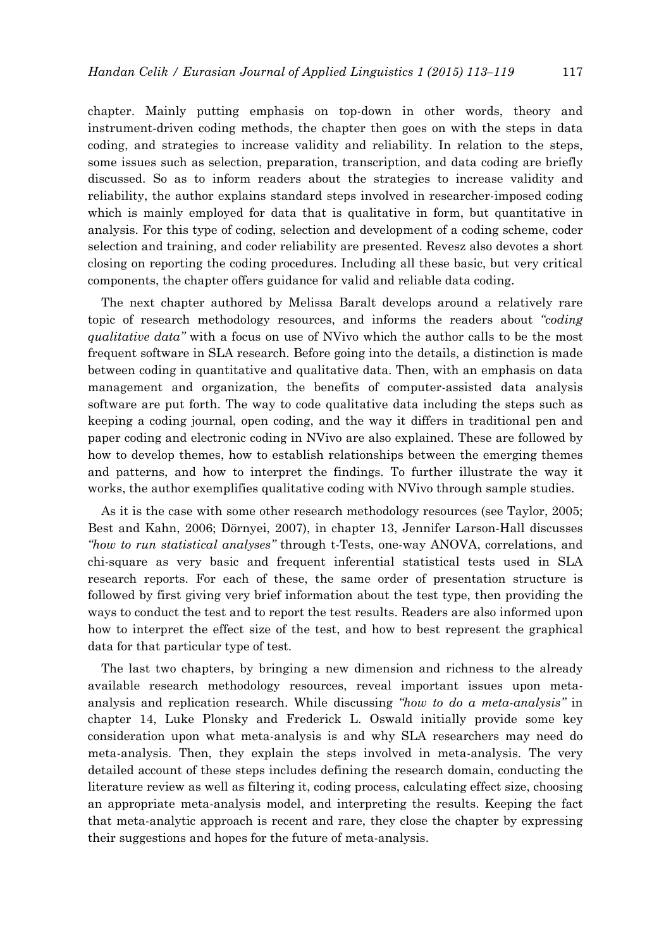chapter. Mainly putting emphasis on top-down in other words, theory and instrument-driven coding methods, the chapter then goes on with the steps in data coding, and strategies to increase validity and reliability. In relation to the steps, some issues such as selection, preparation, transcription, and data coding are briefly discussed. So as to inform readers about the strategies to increase validity and reliability, the author explains standard steps involved in researcher-imposed coding which is mainly employed for data that is qualitative in form, but quantitative in analysis. For this type of coding, selection and development of a coding scheme, coder selection and training, and coder reliability are presented. Revesz also devotes a short closing on reporting the coding procedures. Including all these basic, but very critical components, the chapter offers guidance for valid and reliable data coding.

The next chapter authored by Melissa Baralt develops around a relatively rare topic of research methodology resources, and informs the readers about *"coding qualitative data"* with a focus on use of NVivo which the author calls to be the most frequent software in SLA research. Before going into the details, a distinction is made between coding in quantitative and qualitative data. Then, with an emphasis on data management and organization, the benefits of computer-assisted data analysis software are put forth. The way to code qualitative data including the steps such as keeping a coding journal, open coding, and the way it differs in traditional pen and paper coding and electronic coding in NVivo are also explained. These are followed by how to develop themes, how to establish relationships between the emerging themes and patterns, and how to interpret the findings. To further illustrate the way it works, the author exemplifies qualitative coding with NVivo through sample studies.

As it is the case with some other research methodology resources (see Taylor, 2005; Best and Kahn, 2006; Dörnyei, 2007), in chapter 13, Jennifer Larson-Hall discusses *"how to run statistical analyses"* through t-Tests, one-way ANOVA, correlations, and chi-square as very basic and frequent inferential statistical tests used in SLA research reports. For each of these, the same order of presentation structure is followed by first giving very brief information about the test type, then providing the ways to conduct the test and to report the test results. Readers are also informed upon how to interpret the effect size of the test, and how to best represent the graphical data for that particular type of test.

The last two chapters, by bringing a new dimension and richness to the already available research methodology resources, reveal important issues upon metaanalysis and replication research. While discussing *"how to do a meta-analysis"* in chapter 14, Luke Plonsky and Frederick L. Oswald initially provide some key consideration upon what meta-analysis is and why SLA researchers may need do meta-analysis. Then, they explain the steps involved in meta-analysis. The very detailed account of these steps includes defining the research domain, conducting the literature review as well as filtering it, coding process, calculating effect size, choosing an appropriate meta-analysis model, and interpreting the results. Keeping the fact that meta-analytic approach is recent and rare, they close the chapter by expressing their suggestions and hopes for the future of meta-analysis.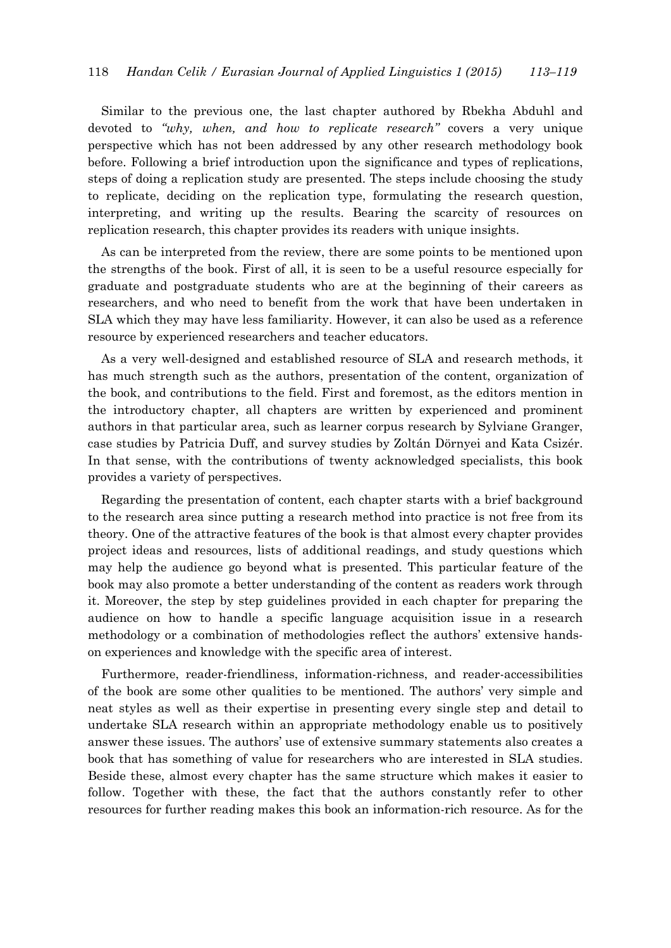Similar to the previous one, the last chapter authored by Rbekha Abduhl and devoted to *"why, when, and how to replicate research"* covers a very unique perspective which has not been addressed by any other research methodology book before. Following a brief introduction upon the significance and types of replications, steps of doing a replication study are presented. The steps include choosing the study to replicate, deciding on the replication type, formulating the research question, interpreting, and writing up the results. Bearing the scarcity of resources on replication research, this chapter provides its readers with unique insights.

As can be interpreted from the review, there are some points to be mentioned upon the strengths of the book. First of all, it is seen to be a useful resource especially for graduate and postgraduate students who are at the beginning of their careers as researchers, and who need to benefit from the work that have been undertaken in SLA which they may have less familiarity. However, it can also be used as a reference resource by experienced researchers and teacher educators.

As a very well-designed and established resource of SLA and research methods, it has much strength such as the authors, presentation of the content, organization of the book, and contributions to the field. First and foremost, as the editors mention in the introductory chapter, all chapters are written by experienced and prominent authors in that particular area, such as learner corpus research by Sylviane Granger, case studies by Patricia Duff, and survey studies by Zoltán Dörnyei and Kata Csizér. In that sense, with the contributions of twenty acknowledged specialists, this book provides a variety of perspectives.

Regarding the presentation of content, each chapter starts with a brief background to the research area since putting a research method into practice is not free from its theory. One of the attractive features of the book is that almost every chapter provides project ideas and resources, lists of additional readings, and study questions which may help the audience go beyond what is presented. This particular feature of the book may also promote a better understanding of the content as readers work through it. Moreover, the step by step guidelines provided in each chapter for preparing the audience on how to handle a specific language acquisition issue in a research methodology or a combination of methodologies reflect the authors' extensive handson experiences and knowledge with the specific area of interest.

Furthermore, reader-friendliness, information-richness, and reader-accessibilities of the book are some other qualities to be mentioned. The authors' very simple and neat styles as well as their expertise in presenting every single step and detail to undertake SLA research within an appropriate methodology enable us to positively answer these issues. The authors' use of extensive summary statements also creates a book that has something of value for researchers who are interested in SLA studies. Beside these, almost every chapter has the same structure which makes it easier to follow. Together with these, the fact that the authors constantly refer to other resources for further reading makes this book an information-rich resource. As for the